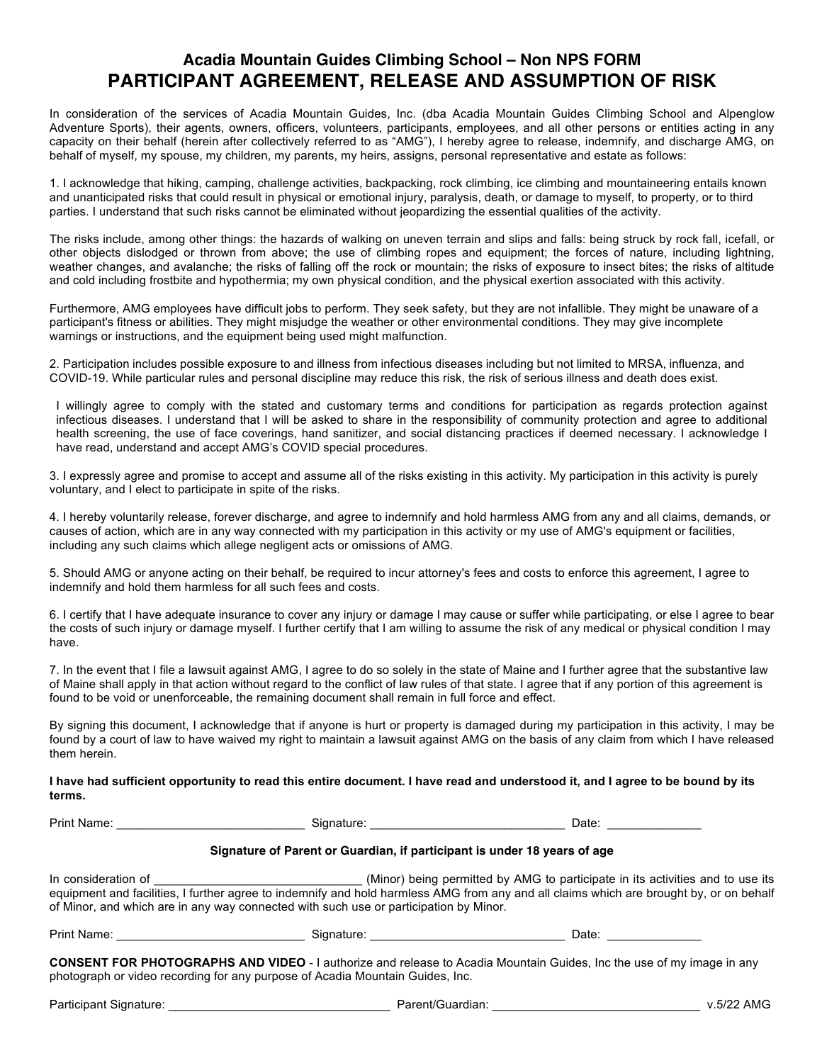# **Acadia Mountain Guides Climbing School – Non NPS FORM PARTICIPANT AGREEMENT, RELEASE AND ASSUMPTION OF RISK**

In consideration of the services of Acadia Mountain Guides, Inc. (dba Acadia Mountain Guides Climbing School and Alpenglow Adventure Sports), their agents, owners, officers, volunteers, participants, employees, and all other persons or entities acting in any capacity on their behalf (herein after collectively referred to as "AMG"), I hereby agree to release, indemnify, and discharge AMG, on behalf of myself, my spouse, my children, my parents, my heirs, assigns, personal representative and estate as follows:

1. I acknowledge that hiking, camping, challenge activities, backpacking, rock climbing, ice climbing and mountaineering entails known and unanticipated risks that could result in physical or emotional injury, paralysis, death, or damage to myself, to property, or to third parties. I understand that such risks cannot be eliminated without jeopardizing the essential qualities of the activity.

The risks include, among other things: the hazards of walking on uneven terrain and slips and falls: being struck by rock fall, icefall, or other objects dislodged or thrown from above; the use of climbing ropes and equipment; the forces of nature, including lightning, weather changes, and avalanche; the risks of falling off the rock or mountain; the risks of exposure to insect bites; the risks of altitude and cold including frostbite and hypothermia; my own physical condition, and the physical exertion associated with this activity.

Furthermore, AMG employees have difficult jobs to perform. They seek safety, but they are not infallible. They might be unaware of a participant's fitness or abilities. They might misjudge the weather or other environmental conditions. They may give incomplete warnings or instructions, and the equipment being used might malfunction.

2. Participation includes possible exposure to and illness from infectious diseases including but not limited to MRSA, influenza, and COVID-19. While particular rules and personal discipline may reduce this risk, the risk of serious illness and death does exist.

I willingly agree to comply with the stated and customary terms and conditions for participation as regards protection against infectious diseases. I understand that I will be asked to share in the responsibility of community protection and agree to additional health screening, the use of face coverings, hand sanitizer, and social distancing practices if deemed necessary. I acknowledge I have read, understand and accept AMG's COVID special procedures.

3. I expressly agree and promise to accept and assume all of the risks existing in this activity. My participation in this activity is purely voluntary, and I elect to participate in spite of the risks.

4. I hereby voluntarily release, forever discharge, and agree to indemnify and hold harmless AMG from any and all claims, demands, or causes of action, which are in any way connected with my participation in this activity or my use of AMG's equipment or facilities, including any such claims which allege negligent acts or omissions of AMG.

5. Should AMG or anyone acting on their behalf, be required to incur attorney's fees and costs to enforce this agreement, I agree to indemnify and hold them harmless for all such fees and costs.

6. I certify that I have adequate insurance to cover any injury or damage I may cause or suffer while participating, or else I agree to bear the costs of such injury or damage myself. I further certify that I am willing to assume the risk of any medical or physical condition I may have.

7. In the event that I file a lawsuit against AMG, I agree to do so solely in the state of Maine and I further agree that the substantive law of Maine shall apply in that action without regard to the conflict of law rules of that state. I agree that if any portion of this agreement is found to be void or unenforceable, the remaining document shall remain in full force and effect.

By signing this document, I acknowledge that if anyone is hurt or property is damaged during my participation in this activity, I may be found by a court of law to have waived my right to maintain a lawsuit against AMG on the basis of any claim from which I have released them herein.

#### **I have had sufficient opportunity to read this entire document. I have read and understood it, and I agree to be bound by its terms.**

Print Name: \_\_\_\_\_\_\_\_\_\_\_\_\_\_\_\_\_\_\_\_\_\_\_\_\_\_\_\_ Signature: \_\_\_\_\_\_\_\_\_\_\_\_\_\_\_\_\_\_\_\_\_\_\_\_\_\_\_\_\_ Date: \_\_\_\_\_\_\_\_\_\_\_\_\_\_

### **Signature of Parent or Guardian, if participant is under 18 years of age**

In consideration of \_\_\_\_\_\_\_\_\_\_\_\_\_\_\_\_\_\_\_\_\_\_\_\_\_\_\_\_\_\_\_ (Minor) being permitted by AMG to participate in its activities and to use its equipment and facilities, I further agree to indemnify and hold harmless AMG from any and all claims which are brought by, or on behalf of Minor, and which are in any way connected with such use or participation by Minor.

| Print | nature | Date |
|-------|--------|------|
| Name: | siar   |      |
|       | . .    |      |

**CONSENT FOR PHOTOGRAPHS AND VIDEO** - I authorize and release to Acadia Mountain Guides, Inc the use of my image in any photograph or video recording for any purpose of Acadia Mountain Guides, Inc.

Participant Signature: \_\_\_\_\_\_\_\_\_\_\_\_\_\_\_\_\_\_\_\_\_\_\_\_\_\_\_\_\_\_\_\_\_ Parent/Guardian: \_\_\_\_\_\_\_\_\_\_\_\_\_\_\_\_\_\_\_\_\_\_\_\_\_\_\_\_\_\_\_ v.5/22 AMG